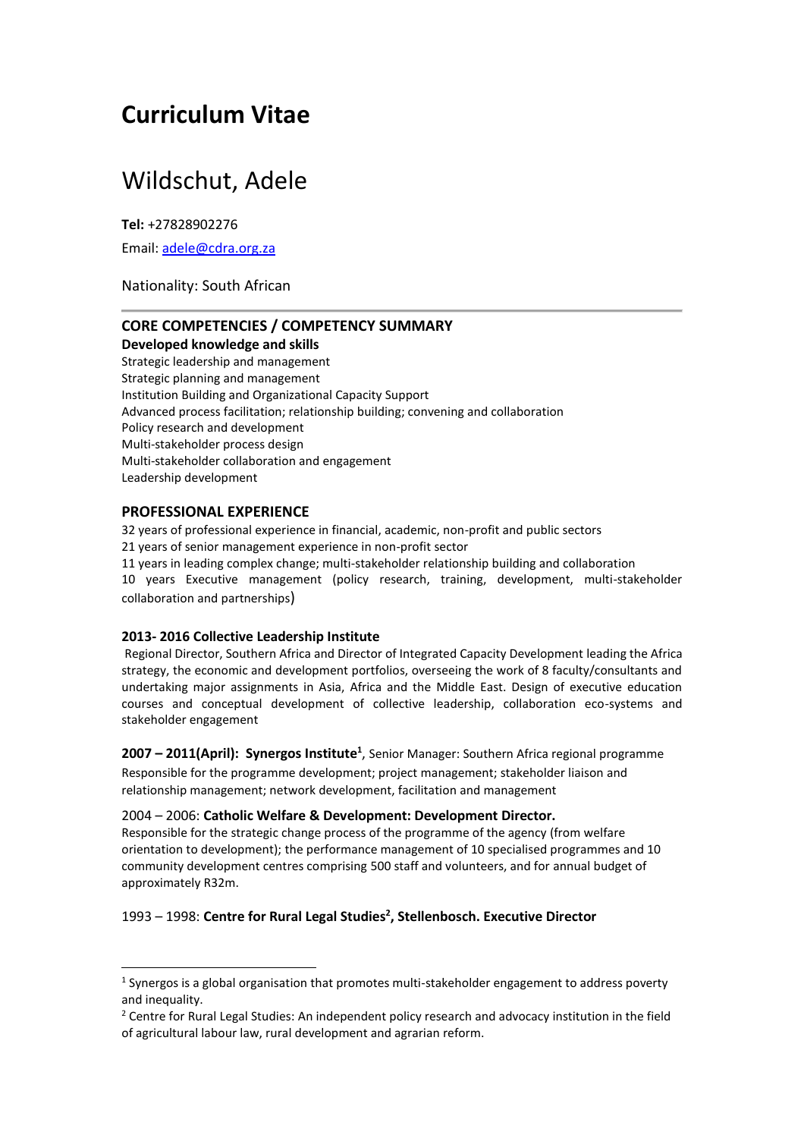# **Curriculum Vitae**

# Wildschut, Adele

**Tel:** +27828902276

Email: [adele@cdra.org.za](mailto:adele@cdra.org.za)

## Nationality: South African

## **CORE COMPETENCIES / COMPETENCY SUMMARY Developed knowledge and skills**

Strategic leadership and management Strategic planning and management Institution Building and Organizational Capacity Support Advanced process facilitation; relationship building; convening and collaboration Policy research and development Multi-stakeholder process design Multi-stakeholder collaboration and engagement Leadership development

# **PROFESSIONAL EXPERIENCE**

 $\overline{a}$ 

32 years of professional experience in financial, academic, non-profit and public sectors 21 years of senior management experience in non-profit sector 11 years in leading complex change; multi-stakeholder relationship building and collaboration 10 years Executive management (policy research, training, development, multi-stakeholder collaboration and partnerships)

## **2013- 2016 Collective Leadership Institute**

Regional Director, Southern Africa and Director of Integrated Capacity Development leading the Africa strategy, the economic and development portfolios, overseeing the work of 8 faculty/consultants and undertaking major assignments in Asia, Africa and the Middle East. Design of executive education courses and conceptual development of collective leadership, collaboration eco-systems and stakeholder engagement

**2007 – 2011(April): Synergos Institute<sup>1</sup>** , Senior Manager: Southern Africa regional programme Responsible for the programme development; project management; stakeholder liaison and relationship management; network development, facilitation and management

#### 2004 – 2006: **Catholic Welfare & Development: Development Director.**

Responsible for the strategic change process of the programme of the agency (from welfare orientation to development); the performance management of 10 specialised programmes and 10 community development centres comprising 500 staff and volunteers, and for annual budget of approximately R32m.

# 1993 – 1998: **Centre for Rural Legal Studies<sup>2</sup> , Stellenbosch. Executive Director**

 $^1$  Synergos is a global organisation that promotes multi-stakeholder engagement to address poverty and inequality.

<sup>&</sup>lt;sup>2</sup> Centre for Rural Legal Studies: An independent policy research and advocacy institution in the field of agricultural labour law, rural development and agrarian reform.